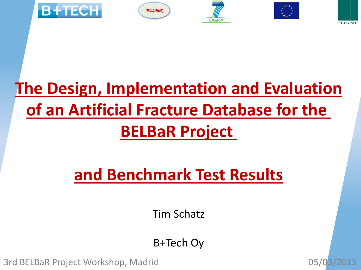

# **The Design, Implementation and Evaluation of an Artificial Fracture Database for the BELBaR Project**

# **and Benchmark Test Results**

Tim Schatz

B+Tech Oy

3rd BELBaR Project Workshop, Madrid 05/03/2015

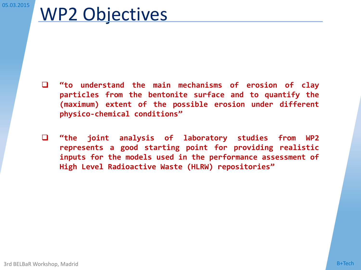# WP2 Objectives

- **"to understand the main mechanisms of erosion of clay particles from the bentonite surface and to quantify the (maximum) extent of the possible erosion under different physico-chemical conditions"**
- **"the joint analysis of laboratory studies from WP2 represents a good starting point for providing realistic inputs for the models used in the performance assessment of High Level Radioactive Waste (HLRW) repositories"**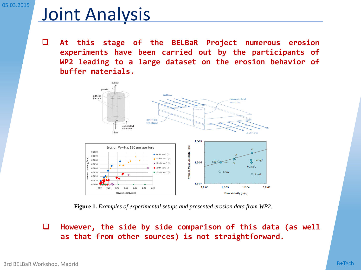# Joint Analysis

 **At this stage of the BELBaR Project numerous erosion experiments have been carried out by the participants of WP2 leading to a large dataset on the erosion behavior of buffer materials.**



**Figure 1.** *Examples of experimental setups and presented erosion data from WP2.*

 **However, the side by side comparison of this data (as well as that from other sources) is not straightforward.**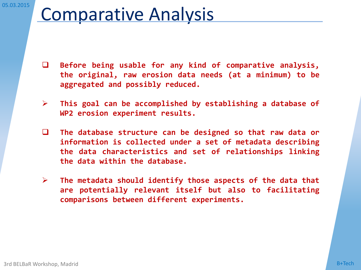### Comparative Analysis

- **Before being usable for any kind of comparative analysis, the original, raw erosion data needs (at a minimum) to be aggregated and possibly reduced.**
- **This goal can be accomplished by establishing a database of WP2 erosion experiment results.**
- **The database structure can be designed so that raw data or information is collected under a set of metadata describing the data characteristics and set of relationships linking the data within the database.**
- **The metadata should identify those aspects of the data that are potentially relevant itself but also to facilitating comparisons between different experiments.**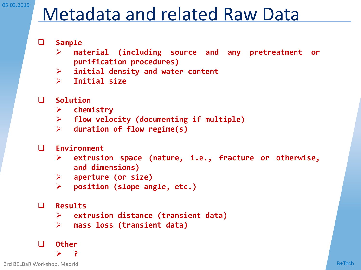# Metadata and related Raw Data

- **Sample**
	- **material (including source and any pretreatment or purification procedures)**
	- **initial density and water content**
	- **Initial size**
- **Solution**
	- **chemistry**
	- **flow velocity (documenting if multiple)**
	- **duration of flow regime(s)**
- **Environment**
	- **extrusion space (nature, i.e., fracture or otherwise, and dimensions)**
	- **aperture (or size)**
	- **position (slope angle, etc.)**

#### **Results**

- **extrusion distance (transient data)**
- **mass loss (transient data)**

#### **Other**

**?**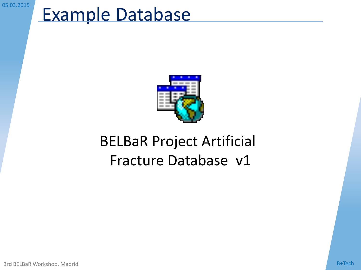# Example Database



### BELBaR Project Artificial Fracture Database v1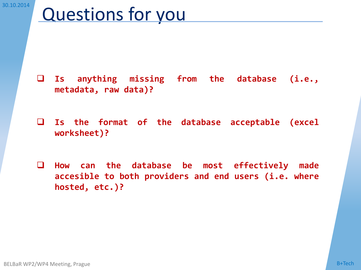# Questions for you

- **Is anything missing from the database (i.e., metadata, raw data)?**
- **Is the format of the database acceptable (excel worksheet)?**
- **How can the database be most effectively made accesible to both providers and end users (i.e. where hosted, etc.)?**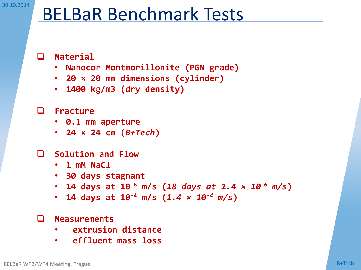# BELBaR Benchmark Tests

#### **Material**

- **Nanocor Montmorillonite (PGN grade)**
- **20 × 20 mm dimensions (cylinder)**
- **1400 kg/m3 (dry density)**

#### **Fracture**

- **0.1 mm aperture**
- **24 × 24 cm (***B+Tech***)**
- **Solution and Flow**
	- **1 mM NaCl**
	- **30 days stagnant**
	- **14 days at 10-6 m/s (***18 days at 1.4 × 10-6 m/s***)**
	- **14 days at 10-4 m/s (***1.4 × 10-4 m/s***)**

#### **Measurements**

- **extrusion distance**
- **effluent mass loss**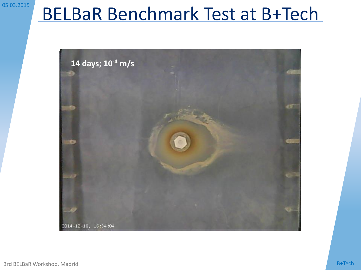# BELBaR Benchmark Test at B+Tech

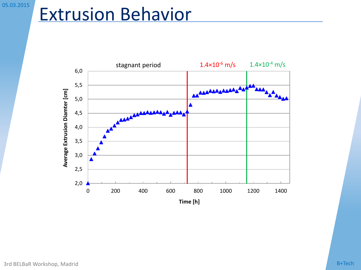# Extrusion Behavior

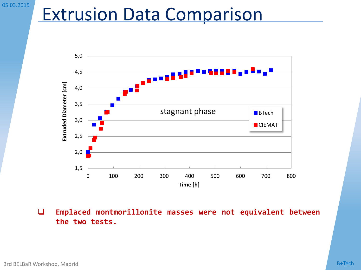### Extrusion Data Comparison



 **Emplaced montmorillonite masses were not equivalent between the two tests.**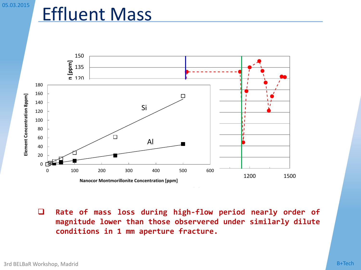### Effluent Mass



 **Rate of mass loss during high-flow period nearly order of magnitude lower than those observered under similarly dilute conditions in 1 mm aperture fracture.**